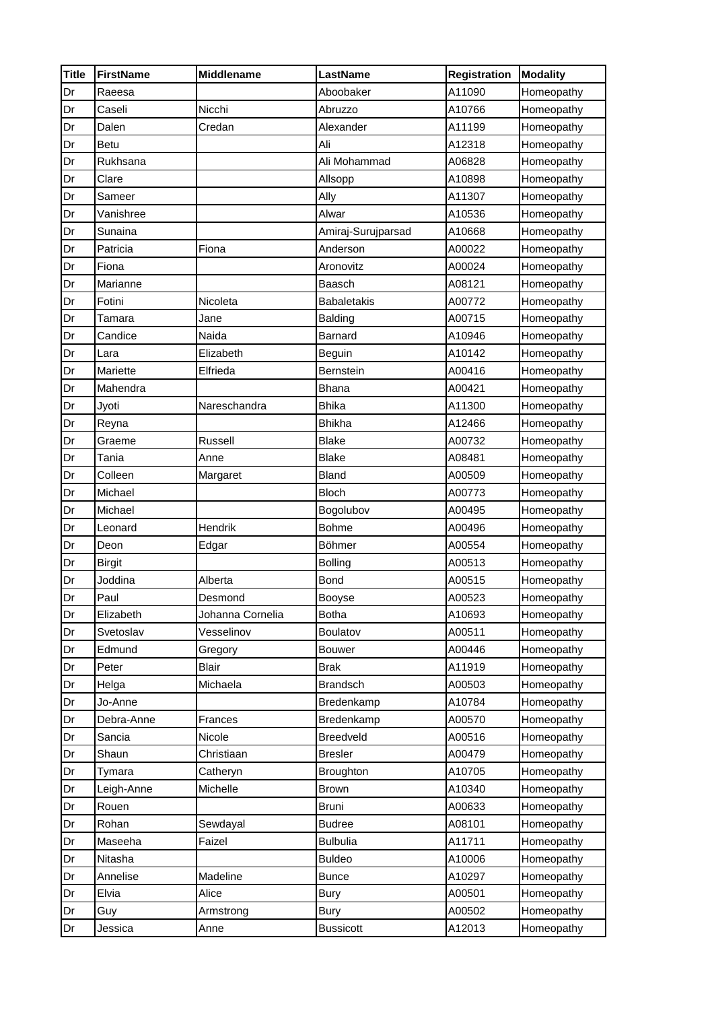| <b>Title</b> | <b>FirstName</b> | <b>Middlename</b> | LastName           | Registration | <b>Modality</b> |
|--------------|------------------|-------------------|--------------------|--------------|-----------------|
| Dr           | Raeesa           |                   | Aboobaker          | A11090       | Homeopathy      |
| Dr           | Caseli           | Nicchi            | Abruzzo            | A10766       | Homeopathy      |
| Dr           | Dalen            | Credan            | Alexander          | A11199       | Homeopathy      |
| Dr           | <b>Betu</b>      |                   | Ali                | A12318       | Homeopathy      |
| Dr           | Rukhsana         |                   | Ali Mohammad       | A06828       | Homeopathy      |
| Dr           | Clare            |                   | Allsopp            | A10898       | Homeopathy      |
| Dr           | Sameer           |                   | Ally               | A11307       | Homeopathy      |
| Dr           | Vanishree        |                   | Alwar              | A10536       | Homeopathy      |
| Dr           | Sunaina          |                   | Amiraj-Surujparsad | A10668       | Homeopathy      |
| Dr           | Patricia         | Fiona             | Anderson           | A00022       | Homeopathy      |
| Dr           | Fiona            |                   | Aronovitz          | A00024       | Homeopathy      |
| Dr           | Marianne         |                   | Baasch             | A08121       | Homeopathy      |
| Dr           | Fotini           | Nicoleta          | <b>Babaletakis</b> | A00772       | Homeopathy      |
| Dr           | Tamara           | Jane              | Balding            | A00715       | Homeopathy      |
| Dr           | Candice          | Naida             | Barnard            | A10946       | Homeopathy      |
| Dr           | Lara             | Elizabeth         | Beguin             | A10142       | Homeopathy      |
| Dr           | Mariette         | Elfrieda          | Bernstein          | A00416       | Homeopathy      |
| Dr           | Mahendra         |                   | <b>Bhana</b>       | A00421       | Homeopathy      |
| Dr           | Jyoti            | Nareschandra      | <b>Bhika</b>       | A11300       | Homeopathy      |
| Dr           | Reyna            |                   | <b>Bhikha</b>      | A12466       | Homeopathy      |
| Dr           | Graeme           | Russell           | <b>Blake</b>       | A00732       | Homeopathy      |
| Dr           | Tania            | Anne              | <b>Blake</b>       | A08481       | Homeopathy      |
| Dr           | Colleen          | Margaret          | <b>Bland</b>       | A00509       | Homeopathy      |
| Dr           | Michael          |                   | <b>Bloch</b>       | A00773       | Homeopathy      |
| Dr           | Michael          |                   | Bogolubov          | A00495       | Homeopathy      |
| Dr           | Leonard          | Hendrik           | <b>Bohme</b>       | A00496       | Homeopathy      |
| Dr           | Deon             | Edgar             | Böhmer             | A00554       | Homeopathy      |
| Dr           | <b>Birgit</b>    |                   | <b>Bolling</b>     | A00513       | Homeopathy      |
| Dr           | Joddina          | Alberta           | Bond               | A00515       | Homeopathy      |
| Dr           | Paul             | Desmond           | Booyse             | A00523       | Homeopathy      |
| Dr           | Elizabeth        | Johanna Cornelia  | <b>Botha</b>       | A10693       | Homeopathy      |
| Dr           | Svetoslav        | Vesselinov        | Boulatov           | A00511       | Homeopathy      |
| Dr           | Edmund           | Gregory           | <b>Bouwer</b>      | A00446       | Homeopathy      |
| Dr           | Peter            | <b>Blair</b>      | <b>Brak</b>        | A11919       | Homeopathy      |
| Dr           | Helga            | Michaela          | <b>Brandsch</b>    | A00503       | Homeopathy      |
| Dr           | Jo-Anne          |                   | Bredenkamp         | A10784       | Homeopathy      |
| Dr           | Debra-Anne       | Frances           | Bredenkamp         | A00570       | Homeopathy      |
| Dr           | Sancia           | Nicole            | Breedveld          | A00516       | Homeopathy      |
| Dr           | Shaun            | Christiaan        | <b>Bresler</b>     | A00479       | Homeopathy      |
| Dr           | Tymara           | Catheryn          | <b>Broughton</b>   | A10705       | Homeopathy      |
| Dr           | Leigh-Anne       | Michelle          | <b>Brown</b>       | A10340       | Homeopathy      |
| Dr           | Rouen            |                   | Bruni              | A00633       | Homeopathy      |
| Dr           | Rohan            | Sewdayal          | <b>Budree</b>      | A08101       | Homeopathy      |
| Dr           | Maseeha          | Faizel            | <b>Bulbulia</b>    | A11711       | Homeopathy      |
| Dr           | Nitasha          |                   | <b>Buldeo</b>      | A10006       | Homeopathy      |
| Dr           | Annelise         | Madeline          | <b>Bunce</b>       | A10297       | Homeopathy      |
| Dr           | Elvia            | Alice             | <b>Bury</b>        | A00501       | Homeopathy      |
| Dr           | Guy              | Armstrong         | <b>Bury</b>        | A00502       | Homeopathy      |
| Dr           | Jessica          | Anne              | <b>Bussicott</b>   | A12013       | Homeopathy      |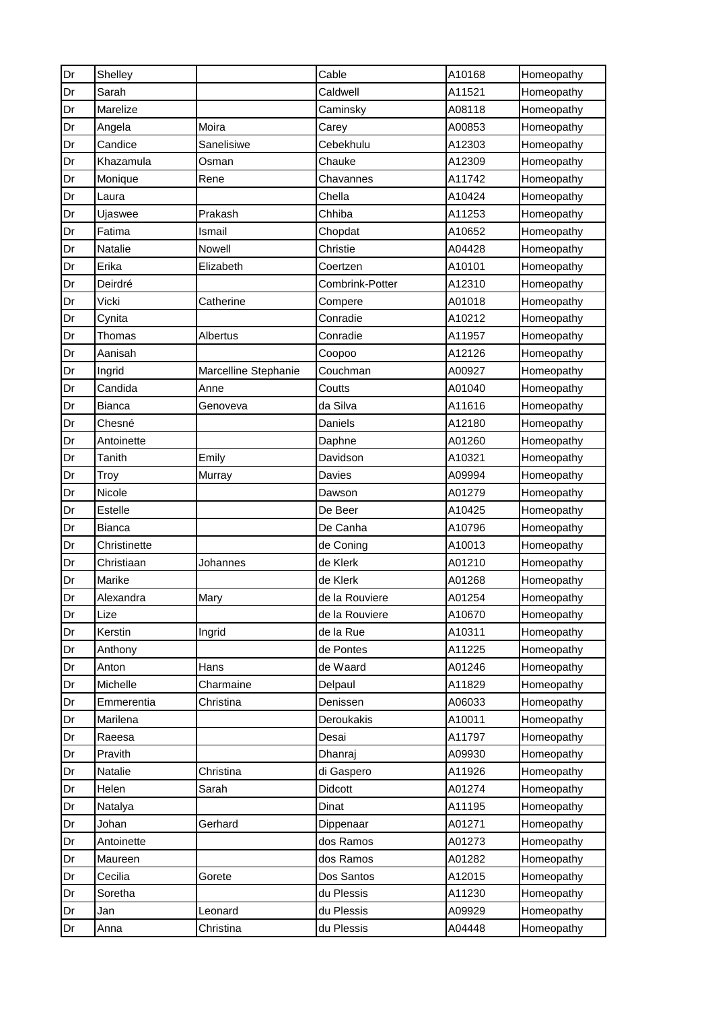| Dr | Shelley        |                      | Cable           | A10168 | Homeopathy |
|----|----------------|----------------------|-----------------|--------|------------|
| Dr | Sarah          |                      | Caldwell        | A11521 | Homeopathy |
| Dr | Marelize       |                      | Caminsky        | A08118 | Homeopathy |
| Dr | Angela         | Moira                | Carey           | A00853 | Homeopathy |
| Dr | Candice        | Sanelisiwe           | Cebekhulu       | A12303 | Homeopathy |
| Dr | Khazamula      | Osman                | Chauke          | A12309 | Homeopathy |
| Dr | Monique        | Rene                 | Chavannes       | A11742 | Homeopathy |
| Dr | Laura          |                      | Chella          | A10424 | Homeopathy |
| Dr | Ujaswee        | Prakash              | Chhiba          | A11253 | Homeopathy |
| Dr | Fatima         | Ismail               | Chopdat         | A10652 | Homeopathy |
| Dr | <b>Natalie</b> | Nowell               | Christie        | A04428 | Homeopathy |
| Dr | Erika          | Elizabeth            | Coertzen        | A10101 | Homeopathy |
| Dr | Deirdré        |                      | Combrink-Potter | A12310 | Homeopathy |
| Dr | Vicki          | Catherine            | Compere         | A01018 | Homeopathy |
| Dr | Cynita         |                      | Conradie        | A10212 | Homeopathy |
| Dr | Thomas         | Albertus             | Conradie        | A11957 | Homeopathy |
| Dr | Aanisah        |                      | Coopoo          | A12126 | Homeopathy |
| Dr | Ingrid         | Marcelline Stephanie | Couchman        | A00927 | Homeopathy |
| Dr | Candida        | Anne                 | Coutts          | A01040 | Homeopathy |
| Dr | <b>Bianca</b>  | Genoveva             | da Silva        | A11616 | Homeopathy |
| Dr | Chesné         |                      | Daniels         | A12180 | Homeopathy |
| Dr | Antoinette     |                      | Daphne          | A01260 | Homeopathy |
| Dr | Tanith         | Emily                | Davidson        | A10321 | Homeopathy |
| Dr | Troy           | Murray               | Davies          | A09994 | Homeopathy |
| Dr | Nicole         |                      | Dawson          | A01279 | Homeopathy |
| Dr | Estelle        |                      | De Beer         | A10425 | Homeopathy |
| Dr | <b>Bianca</b>  |                      | De Canha        | A10796 | Homeopathy |
| Dr | Christinette   |                      | de Coning       | A10013 | Homeopathy |
| Dr | Christiaan     | Johannes             | de Klerk        | A01210 | Homeopathy |
| Dr | Marike         |                      | de Klerk        | A01268 | Homeopathy |
| Dr | Alexandra      | Mary                 | de la Rouviere  | A01254 | Homeopathy |
| Dr | Lize           |                      | de la Rouviere  | A10670 | Homeopathy |
| Dr | Kerstin        | Ingrid               | de la Rue       | A10311 | Homeopathy |
| Dr | Anthony        |                      | de Pontes       | A11225 | Homeopathy |
| Dr | Anton          | Hans                 | de Waard        | A01246 | Homeopathy |
| Dr | Michelle       | Charmaine            | Delpaul         | A11829 | Homeopathy |
| Dr | Emmerentia     | Christina            | Denissen        | A06033 | Homeopathy |
| Dr | Marilena       |                      | Deroukakis      | A10011 | Homeopathy |
| Dr | Raeesa         |                      | Desai           | A11797 | Homeopathy |
| Dr | Pravith        |                      | Dhanraj         | A09930 | Homeopathy |
| Dr | Natalie        | Christina            | di Gaspero      | A11926 | Homeopathy |
| Dr | Helen          | Sarah                | Didcott         | A01274 | Homeopathy |
| Dr | Natalya        |                      | Dinat           | A11195 | Homeopathy |
| Dr | Johan          | Gerhard              | Dippenaar       | A01271 | Homeopathy |
| Dr | Antoinette     |                      | dos Ramos       | A01273 | Homeopathy |
| Dr | Maureen        |                      | dos Ramos       | A01282 | Homeopathy |
| Dr | Cecilia        | Gorete               | Dos Santos      | A12015 | Homeopathy |
| Dr | Soretha        |                      | du Plessis      | A11230 | Homeopathy |
| Dr | Jan            | Leonard              | du Plessis      | A09929 | Homeopathy |
| Dr | Anna           | Christina            | du Plessis      | A04448 | Homeopathy |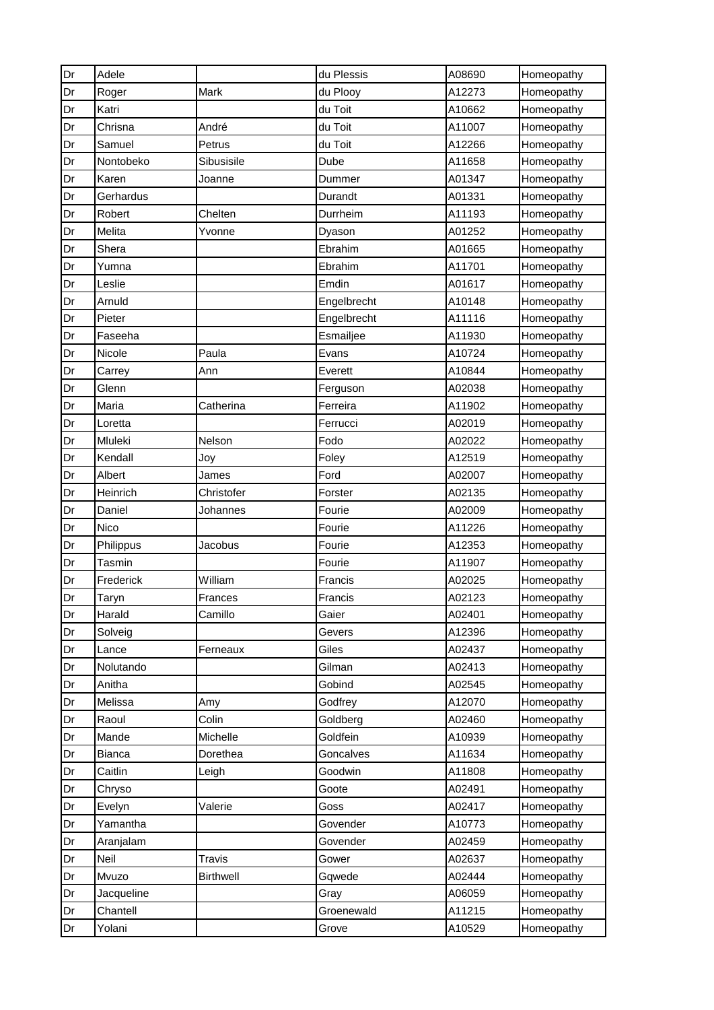| Dr | Adele      |                  | du Plessis  | A08690 | Homeopathy |
|----|------------|------------------|-------------|--------|------------|
| Dr | Roger      | Mark             | du Plooy    | A12273 | Homeopathy |
| Dr | Katri      |                  | du Toit     | A10662 | Homeopathy |
| Dr | Chrisna    | André            | du Toit     | A11007 | Homeopathy |
| Dr | Samuel     | Petrus           | du Toit     | A12266 | Homeopathy |
| Dr | Nontobeko  | Sibusisile       | Dube        | A11658 | Homeopathy |
| Dr | Karen      | Joanne           | Dummer      | A01347 | Homeopathy |
| Dr | Gerhardus  |                  | Durandt     | A01331 | Homeopathy |
| Dr | Robert     | Chelten          | Durrheim    | A11193 | Homeopathy |
| Dr | Melita     | Yvonne           | Dyason      | A01252 | Homeopathy |
| Dr | Shera      |                  | Ebrahim     | A01665 | Homeopathy |
| Dr | Yumna      |                  | Ebrahim     | A11701 | Homeopathy |
| Dr | Leslie     |                  | Emdin       | A01617 | Homeopathy |
| Dr | Arnuld     |                  | Engelbrecht | A10148 | Homeopathy |
| Dr | Pieter     |                  | Engelbrecht | A11116 | Homeopathy |
| Dr | Faseeha    |                  | Esmailjee   | A11930 | Homeopathy |
| Dr | Nicole     | Paula            | Evans       | A10724 | Homeopathy |
| Dr | Carrey     | Ann              | Everett     | A10844 | Homeopathy |
| Dr | Glenn      |                  | Ferguson    | A02038 | Homeopathy |
| Dr | Maria      | Catherina        | Ferreira    | A11902 | Homeopathy |
| Dr | Loretta    |                  | Ferrucci    | A02019 | Homeopathy |
| Dr | Mluleki    | Nelson           | Fodo        | A02022 | Homeopathy |
| Dr | Kendall    | Joy              | Foley       | A12519 | Homeopathy |
| Dr | Albert     | James            | Ford        | A02007 | Homeopathy |
| Dr | Heinrich   | Christofer       | Forster     | A02135 | Homeopathy |
| Dr | Daniel     | Johannes         | Fourie      | A02009 | Homeopathy |
| Dr | Nico       |                  | Fourie      | A11226 | Homeopathy |
| Dr | Philippus  | Jacobus          | Fourie      | A12353 | Homeopathy |
| Dr | Tasmin     |                  | Fourie      | A11907 | Homeopathy |
| Dr | Frederick  | William          | Francis     | A02025 | Homeopathy |
| Dr | Taryn      | Frances          | Francis     | A02123 | Homeopathy |
| Dr | Harald     | Camillo          | Gaier       | A02401 | Homeopathy |
| Dr | Solveig    |                  | Gevers      | A12396 | Homeopathy |
| Dr | Lance      | Ferneaux         | Giles       | A02437 | Homeopathy |
| Dr | Nolutando  |                  | Gilman      | A02413 | Homeopathy |
| Dr | Anitha     |                  | Gobind      | A02545 | Homeopathy |
| Dr | Melissa    | Amy              | Godfrey     | A12070 | Homeopathy |
| Dr | Raoul      | Colin            | Goldberg    | A02460 | Homeopathy |
| Dr | Mande      | Michelle         | Goldfein    | A10939 | Homeopathy |
| Dr | Bianca     | Dorethea         | Goncalves   | A11634 | Homeopathy |
| Dr | Caitlin    | Leigh            | Goodwin     | A11808 | Homeopathy |
| Dr | Chryso     |                  | Goote       | A02491 | Homeopathy |
| Dr | Evelyn     | Valerie          | Goss        | A02417 | Homeopathy |
| Dr | Yamantha   |                  | Govender    | A10773 | Homeopathy |
| Dr | Aranjalam  |                  | Govender    | A02459 | Homeopathy |
| Dr | Neil       | Travis           | Gower       | A02637 | Homeopathy |
| Dr | Mvuzo      | <b>Birthwell</b> | Gqwede      | A02444 | Homeopathy |
| Dr | Jacqueline |                  | Gray        | A06059 | Homeopathy |
| Dr | Chantell   |                  | Groenewald  | A11215 | Homeopathy |
| Dr | Yolani     |                  | Grove       | A10529 | Homeopathy |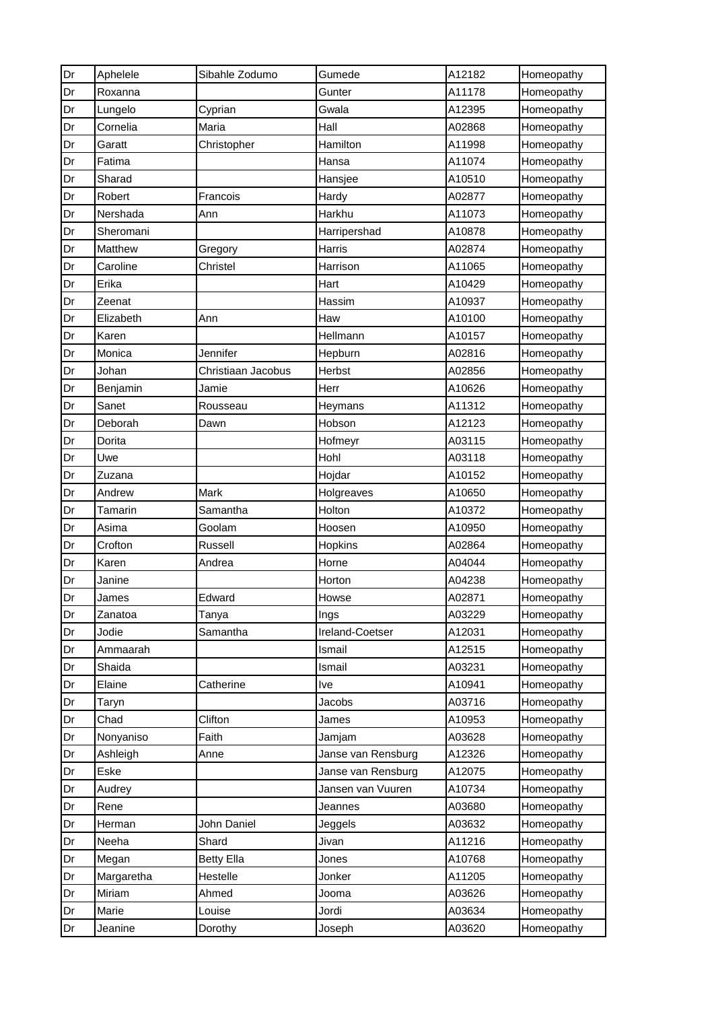| Dr | Aphelele   | Sibahle Zodumo     | Gumede             | A12182 | Homeopathy |
|----|------------|--------------------|--------------------|--------|------------|
| Dr | Roxanna    |                    | Gunter             | A11178 | Homeopathy |
| Dr | Lungelo    | Cyprian            | Gwala              | A12395 | Homeopathy |
| Dr | Cornelia   | Maria              | Hall               | A02868 | Homeopathy |
| Dr | Garatt     | Christopher        | Hamilton           | A11998 | Homeopathy |
| Dr | Fatima     |                    | Hansa              | A11074 | Homeopathy |
| Dr | Sharad     |                    | Hansjee            | A10510 | Homeopathy |
| Dr | Robert     | Francois           | Hardy              | A02877 | Homeopathy |
| Dr | Nershada   | Ann                | Harkhu             | A11073 | Homeopathy |
| Dr | Sheromani  |                    | Harripershad       | A10878 | Homeopathy |
| Dr | Matthew    | Gregory            | Harris             | A02874 | Homeopathy |
| Dr | Caroline   | Christel           | Harrison           | A11065 | Homeopathy |
| Dr | Erika      |                    | Hart               | A10429 | Homeopathy |
| Dr | Zeenat     |                    | Hassim             | A10937 | Homeopathy |
| Dr | Elizabeth  | Ann                | Haw                | A10100 | Homeopathy |
| Dr | Karen      |                    | Hellmann           | A10157 | Homeopathy |
| Dr | Monica     | Jennifer           | Hepburn            | A02816 | Homeopathy |
| Dr | Johan      | Christiaan Jacobus | Herbst             | A02856 | Homeopathy |
| Dr | Benjamin   | Jamie              | Herr               | A10626 | Homeopathy |
| Dr | Sanet      | Rousseau           | Heymans            | A11312 | Homeopathy |
| Dr | Deborah    | Dawn               | Hobson             | A12123 | Homeopathy |
| Dr | Dorita     |                    | Hofmeyr            | A03115 | Homeopathy |
| Dr | Uwe        |                    | Hohl               | A03118 | Homeopathy |
| Dr | Zuzana     |                    | Hojdar             | A10152 | Homeopathy |
| Dr | Andrew     | Mark               | Holgreaves         | A10650 | Homeopathy |
| Dr | Tamarin    | Samantha           | Holton             | A10372 | Homeopathy |
| Dr | Asima      | Goolam             | Hoosen             | A10950 | Homeopathy |
| Dr | Crofton    | Russell            | Hopkins            | A02864 | Homeopathy |
| Dr | Karen      | Andrea             | Horne              | A04044 | Homeopathy |
| Dr | Janine     |                    | Horton             | A04238 | Homeopathy |
| Dr | James      | Edward             | Howse              | A02871 | Homeopathy |
| Dr | Zanatoa    | Tanya              | Ings               | A03229 | Homeopathy |
| Dr | Jodie      | Samantha           | Ireland-Coetser    | A12031 | Homeopathy |
| Dr | Ammaarah   |                    | Ismail             | A12515 | Homeopathy |
| Dr | Shaida     |                    | Ismail             | A03231 | Homeopathy |
| Dr | Elaine     | Catherine          | Ive                | A10941 | Homeopathy |
| Dr | Taryn      |                    | Jacobs             | A03716 | Homeopathy |
| Dr | Chad       | Clifton            | James              | A10953 | Homeopathy |
| Dr | Nonyaniso  | Faith              | Jamjam             | A03628 | Homeopathy |
| Dr | Ashleigh   | Anne               | Janse van Rensburg | A12326 | Homeopathy |
| Dr | Eske       |                    | Janse van Rensburg | A12075 | Homeopathy |
| Dr | Audrey     |                    | Jansen van Vuuren  | A10734 | Homeopathy |
| Dr | Rene       |                    | Jeannes            | A03680 | Homeopathy |
| Dr | Herman     | John Daniel        | Jeggels            | A03632 | Homeopathy |
| Dr | Neeha      | Shard              | Jivan              | A11216 | Homeopathy |
| Dr | Megan      | <b>Betty Ella</b>  | Jones              | A10768 | Homeopathy |
| Dr | Margaretha | Hestelle           | Jonker             | A11205 | Homeopathy |
| Dr | Miriam     | Ahmed              | Jooma              | A03626 | Homeopathy |
| Dr | Marie      | Louise             | Jordi              | A03634 | Homeopathy |
| Dr | Jeanine    | Dorothy            | Joseph             | A03620 | Homeopathy |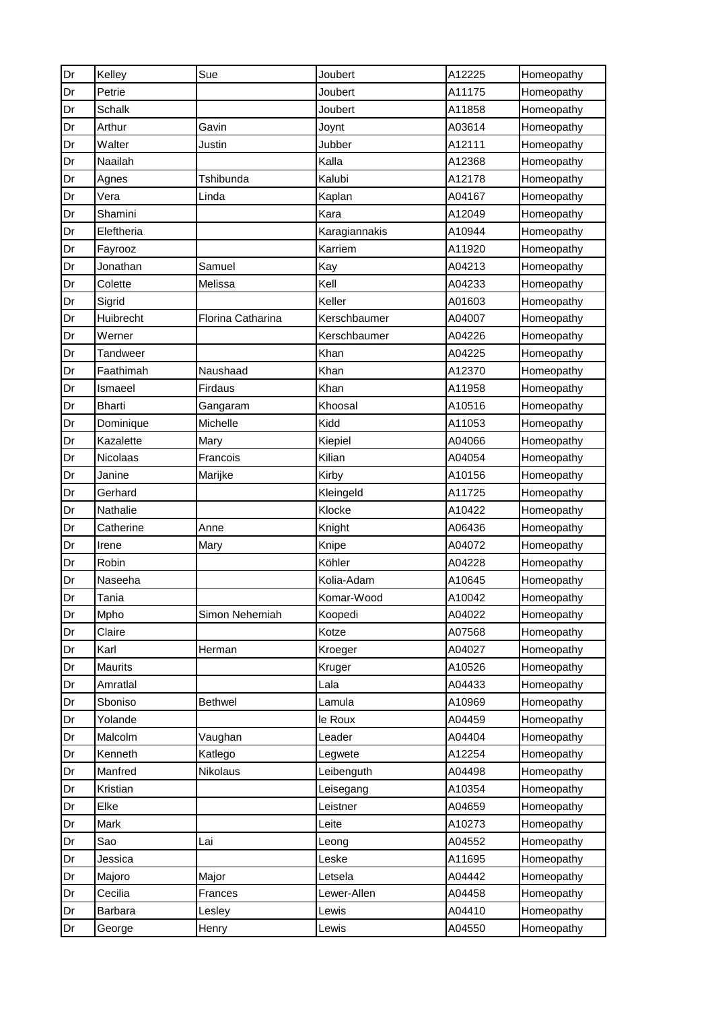| Dr | Kelley        | Sue               | Joubert       | A12225 | Homeopathy |
|----|---------------|-------------------|---------------|--------|------------|
| Dr | Petrie        |                   | Joubert       | A11175 | Homeopathy |
| Dr | Schalk        |                   | Joubert       | A11858 | Homeopathy |
| Dr | Arthur        | Gavin             | Joynt         | A03614 | Homeopathy |
| Dr | Walter        | Justin            | Jubber        | A12111 | Homeopathy |
| Dr | Naailah       |                   | Kalla         | A12368 | Homeopathy |
| Dr | Agnes         | Tshibunda         | Kalubi        | A12178 | Homeopathy |
| Dr | Vera          | Linda             | Kaplan        | A04167 | Homeopathy |
| Dr | Shamini       |                   | Kara          | A12049 | Homeopathy |
| Dr | Eleftheria    |                   | Karagiannakis | A10944 | Homeopathy |
| Dr | Fayrooz       |                   | Karriem       | A11920 | Homeopathy |
| Dr | Jonathan      | Samuel            | Kay           | A04213 | Homeopathy |
| Dr | Colette       | Melissa           | Kell          | A04233 | Homeopathy |
| Dr | Sigrid        |                   | Keller        | A01603 | Homeopathy |
| Dr | Huibrecht     | Florina Catharina | Kerschbaumer  | A04007 | Homeopathy |
| Dr | Werner        |                   | Kerschbaumer  | A04226 | Homeopathy |
| Dr | Tandweer      |                   | Khan          | A04225 | Homeopathy |
| Dr | Faathimah     | Naushaad          | Khan          | A12370 | Homeopathy |
| Dr | Ismaeel       | Firdaus           | Khan          | A11958 | Homeopathy |
| Dr | <b>Bharti</b> | Gangaram          | Khoosal       | A10516 | Homeopathy |
| Dr | Dominique     | Michelle          | Kidd          | A11053 | Homeopathy |
| Dr | Kazalette     | Mary              | Kiepiel       | A04066 | Homeopathy |
| Dr | Nicolaas      | Francois          | Kilian        | A04054 | Homeopathy |
| Dr | Janine        | Marijke           | Kirby         | A10156 | Homeopathy |
| Dr | Gerhard       |                   | Kleingeld     | A11725 | Homeopathy |
| Dr | Nathalie      |                   | Klocke        | A10422 | Homeopathy |
| Dr | Catherine     | Anne              | Knight        | A06436 | Homeopathy |
| Dr | Irene         | Mary              | Knipe         | A04072 | Homeopathy |
| Dr | Robin         |                   | Köhler        | A04228 | Homeopathy |
| Dr | Naseeha       |                   | Kolia-Adam    | A10645 | Homeopathy |
| Dr | Tania         |                   | Komar-Wood    | A10042 | Homeopathy |
| Dr | Mpho          | Simon Nehemiah    | Koopedi       | A04022 | Homeopathy |
| Dr | Claire        |                   | Kotze         | A07568 | Homeopathy |
| Dr | Karl          | Herman            | Kroeger       | A04027 | Homeopathy |
| Dr | Maurits       |                   | Kruger        | A10526 | Homeopathy |
| Dr | Amratlal      |                   | Lala          | A04433 | Homeopathy |
| Dr | Sboniso       | <b>Bethwel</b>    | Lamula        | A10969 | Homeopathy |
| Dr | Yolande       |                   | le Roux       | A04459 | Homeopathy |
| Dr | Malcolm       | Vaughan           | Leader        | A04404 | Homeopathy |
| Dr | Kenneth       | Katlego           | Legwete       | A12254 | Homeopathy |
| Dr | Manfred       | Nikolaus          | Leibenguth    | A04498 | Homeopathy |
| Dr | Kristian      |                   | Leisegang     | A10354 | Homeopathy |
| Dr | Elke          |                   | Leistner      | A04659 | Homeopathy |
| Dr | Mark          |                   | Leite         | A10273 | Homeopathy |
| Dr | Sao           | Lai               | Leong         | A04552 | Homeopathy |
| Dr | Jessica       |                   | Leske         | A11695 | Homeopathy |
| Dr | Majoro        | Major             | Letsela       | A04442 | Homeopathy |
| Dr | Cecilia       | Frances           | Lewer-Allen   | A04458 | Homeopathy |
| Dr | Barbara       | Lesley            | Lewis         | A04410 | Homeopathy |
| Dr | George        | Henry             | Lewis         | A04550 | Homeopathy |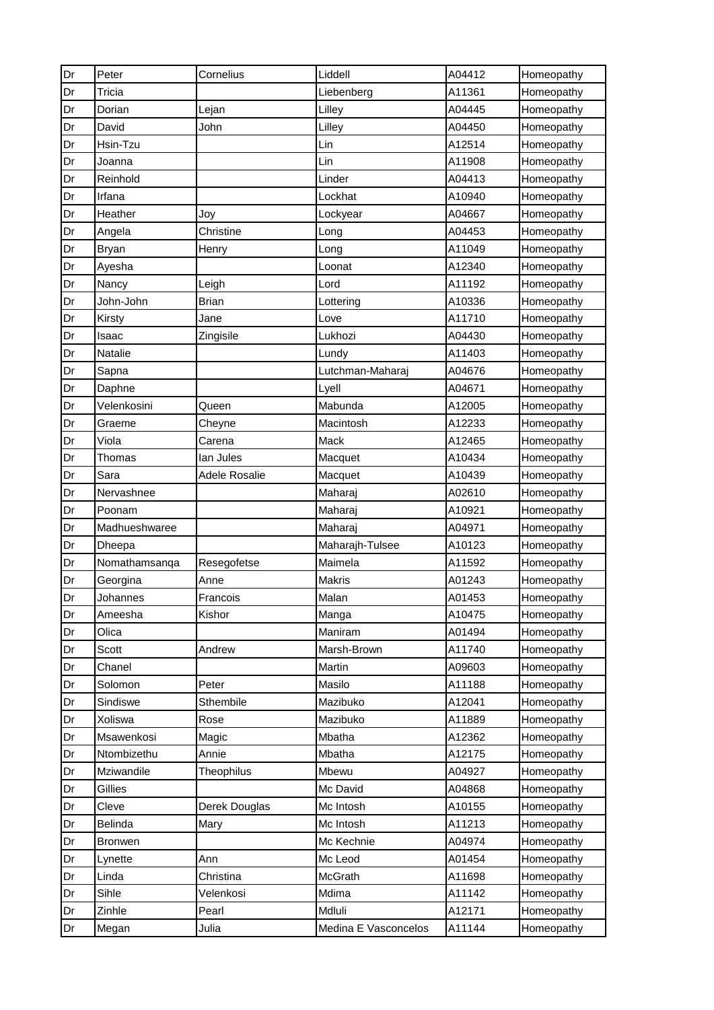| Dr | Peter          | Cornelius         | Liddell              | A04412 | Homeopathy |
|----|----------------|-------------------|----------------------|--------|------------|
| Dr | Tricia         |                   | Liebenberg           | A11361 | Homeopathy |
| Dr | Dorian         | Lejan             | Lilley               | A04445 | Homeopathy |
| Dr | David          | John              | Lilley               | A04450 | Homeopathy |
| Dr | Hsin-Tzu       |                   | Lin                  | A12514 | Homeopathy |
| Dr | Joanna         |                   | Lin                  | A11908 | Homeopathy |
| Dr | Reinhold       |                   | Linder               | A04413 | Homeopathy |
| Dr | Irfana         |                   | Lockhat              | A10940 | Homeopathy |
| Dr | Heather        | Joy               | Lockyear             | A04667 | Homeopathy |
| Dr | Angela         | Christine         | Long                 | A04453 | Homeopathy |
| Dr | Bryan          | Henry             | Long                 | A11049 | Homeopathy |
| Dr | Ayesha         |                   | Loonat               | A12340 | Homeopathy |
| Dr | Nancy          | Leigh             | Lord                 | A11192 | Homeopathy |
| Dr | John-John      | <b>Brian</b>      | Lottering            | A10336 | Homeopathy |
| Dr | Kirsty         | Jane              | Love                 | A11710 | Homeopathy |
| Dr | Isaac          | Zingisile         | Lukhozi              | A04430 | Homeopathy |
| Dr | Natalie        |                   | Lundy                | A11403 | Homeopathy |
| Dr | Sapna          |                   | Lutchman-Maharaj     | A04676 | Homeopathy |
| Dr | Daphne         |                   | Lyell                | A04671 | Homeopathy |
| Dr | Velenkosini    | Queen             | Mabunda              | A12005 | Homeopathy |
| Dr | Graeme         | Cheyne            | Macintosh            | A12233 | Homeopathy |
| Dr | Viola          | Carena            | Mack                 | A12465 | Homeopathy |
| Dr | Thomas         | lan Jules         | Macquet              | A10434 | Homeopathy |
| Dr | Sara           | Adele Rosalie     | Macquet              | A10439 | Homeopathy |
| Dr | Nervashnee     |                   | Maharaj              | A02610 | Homeopathy |
| Dr | Poonam         |                   | Maharaj              | A10921 | Homeopathy |
| Dr | Madhueshwaree  |                   | Maharaj              | A04971 | Homeopathy |
| Dr | Dheepa         |                   | Maharajh-Tulsee      | A10123 | Homeopathy |
| Dr | Nomathamsanqa  | Resegofetse       | Maimela              | A11592 | Homeopathy |
| Dr | Georgina       | Anne              | Makris               | A01243 | Homeopathy |
| Dr | Johannes       | Francois          | Malan                | A01453 | Homeopathy |
| Dr | Ameesha        | Kishor            | Manga                | A10475 | Homeopathy |
| Dr | Olica          |                   | Maniram              | A01494 | Homeopathy |
| Dr | Scott          | Andrew            | Marsh-Brown          | A11740 | Homeopathy |
| Dr | Chanel         |                   | Martin               | A09603 | Homeopathy |
| Dr | Solomon        | Peter             | Masilo               | A11188 | Homeopathy |
| Dr | Sindiswe       | Sthembile         | Mazibuko             | A12041 | Homeopathy |
| Dr | Xoliswa        | Rose              | Mazibuko             | A11889 | Homeopathy |
| Dr | Msawenkosi     | Magic             | Mbatha               | A12362 | Homeopathy |
| Dr | Ntombizethu    | Annie             | Mbatha               | A12175 | Homeopathy |
| Dr | Mziwandile     | <b>Theophilus</b> | Mbewu                | A04927 | Homeopathy |
| Dr | Gillies        |                   | Mc David             | A04868 | Homeopathy |
| Dr | Cleve          | Derek Douglas     | Mc Intosh            | A10155 | Homeopathy |
| Dr | Belinda        | Mary              | Mc Intosh            | A11213 | Homeopathy |
| Dr | <b>Bronwen</b> |                   | Mc Kechnie           | A04974 | Homeopathy |
| Dr | Lynette        | Ann               | Mc Leod              | A01454 | Homeopathy |
| Dr | Linda          | Christina         | McGrath              | A11698 | Homeopathy |
| Dr | Sihle          | Velenkosi         | Mdima                | A11142 | Homeopathy |
| Dr | Zinhle         | Pearl             | Mdluli               | A12171 | Homeopathy |
| Dr | Megan          | Julia             | Medina E Vasconcelos | A11144 | Homeopathy |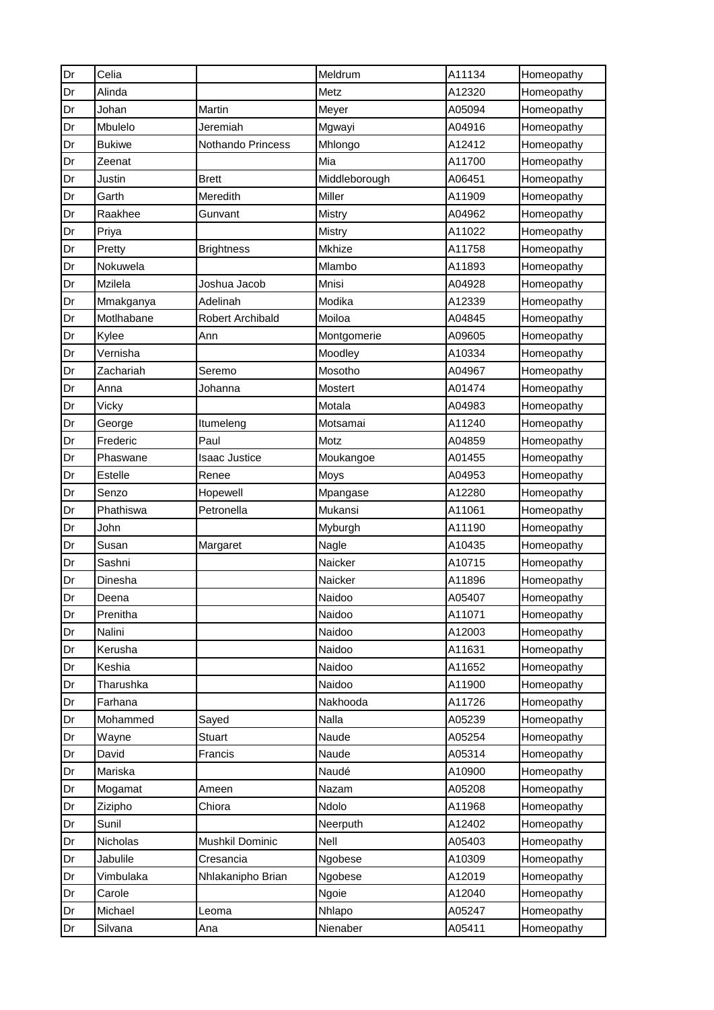| Dr | Celia          |                         | Meldrum       | A11134 | Homeopathy |
|----|----------------|-------------------------|---------------|--------|------------|
| Dr | Alinda         |                         | Metz          | A12320 | Homeopathy |
| Dr | Johan          | Martin                  | Meyer         | A05094 | Homeopathy |
| Dr | Mbulelo        | Jeremiah                | Mgwayi        | A04916 | Homeopathy |
| Dr | <b>Bukiwe</b>  | Nothando Princess       | Mhlongo       | A12412 | Homeopathy |
| Dr | Zeenat         |                         | Mia           | A11700 | Homeopathy |
| Dr | Justin         | <b>Brett</b>            | Middleborough | A06451 | Homeopathy |
| Dr | Garth          | Meredith                | Miller        | A11909 | Homeopathy |
| Dr | Raakhee        | Gunvant                 | Mistry        | A04962 | Homeopathy |
| Dr | Priya          |                         | <b>Mistry</b> | A11022 | Homeopathy |
| Dr | Pretty         | <b>Brightness</b>       | Mkhize        | A11758 | Homeopathy |
| Dr | Nokuwela       |                         | Mlambo        | A11893 | Homeopathy |
| Dr | Mzilela        | Joshua Jacob            | Mnisi         | A04928 | Homeopathy |
| Dr | Mmakganya      | Adelinah                | Modika        | A12339 | Homeopathy |
| Dr | Motlhabane     | <b>Robert Archibald</b> | Moiloa        | A04845 | Homeopathy |
| Dr | Kylee          | Ann                     | Montgomerie   | A09605 | Homeopathy |
| Dr | Vernisha       |                         | Moodley       | A10334 | Homeopathy |
| Dr | Zachariah      | Seremo                  | Mosotho       | A04967 | Homeopathy |
| Dr | Anna           | Johanna                 | Mostert       | A01474 | Homeopathy |
| Dr | Vicky          |                         | Motala        | A04983 | Homeopathy |
| Dr | George         | Itumeleng               | Motsamai      | A11240 | Homeopathy |
| Dr | Frederic       | Paul                    | Motz          | A04859 | Homeopathy |
| Dr | Phaswane       | <b>Isaac Justice</b>    | Moukangoe     | A01455 | Homeopathy |
| Dr | <b>Estelle</b> | Renee                   | Moys          | A04953 | Homeopathy |
| Dr | Senzo          | Hopewell                | Mpangase      | A12280 | Homeopathy |
| Dr | Phathiswa      | Petronella              | Mukansi       | A11061 | Homeopathy |
| Dr | John           |                         | Myburgh       | A11190 | Homeopathy |
| Dr | Susan          | Margaret                | Nagle         | A10435 | Homeopathy |
| Dr | Sashni         |                         | Naicker       | A10715 | Homeopathy |
| Dr | Dinesha        |                         | Naicker       | A11896 | Homeopathy |
| Dr | Deena          |                         | Naidoo        | A05407 | Homeopathy |
| Dr | Prenitha       |                         | Naidoo        | A11071 | Homeopathy |
| Dr | Nalini         |                         | Naidoo        | A12003 | Homeopathy |
| Dr | Kerusha        |                         | Naidoo        | A11631 | Homeopathy |
| Dr | Keshia         |                         | Naidoo        | A11652 | Homeopathy |
| Dr | Tharushka      |                         | Naidoo        | A11900 | Homeopathy |
| Dr | Farhana        |                         | Nakhooda      | A11726 | Homeopathy |
| Dr | Mohammed       | Sayed                   | Nalla         | A05239 | Homeopathy |
| Dr | Wayne          | <b>Stuart</b>           | Naude         | A05254 | Homeopathy |
| Dr | David          | Francis                 | Naude         | A05314 | Homeopathy |
| Dr | Mariska        |                         | Naudé         | A10900 | Homeopathy |
| Dr | Mogamat        | Ameen                   | Nazam         | A05208 | Homeopathy |
| Dr | Zizipho        | Chiora                  | Ndolo         | A11968 | Homeopathy |
| Dr | Sunil          |                         | Neerputh      | A12402 | Homeopathy |
| Dr | Nicholas       | Mushkil Dominic         | Nell          | A05403 | Homeopathy |
| Dr | Jabulile       | Cresancia               | Ngobese       | A10309 | Homeopathy |
| Dr | Vimbulaka      | Nhlakanipho Brian       | Ngobese       | A12019 | Homeopathy |
| Dr | Carole         |                         | Ngoie         | A12040 | Homeopathy |
| Dr | Michael        | Leoma                   | Nhlapo        | A05247 | Homeopathy |
| Dr | Silvana        | Ana                     | Nienaber      | A05411 | Homeopathy |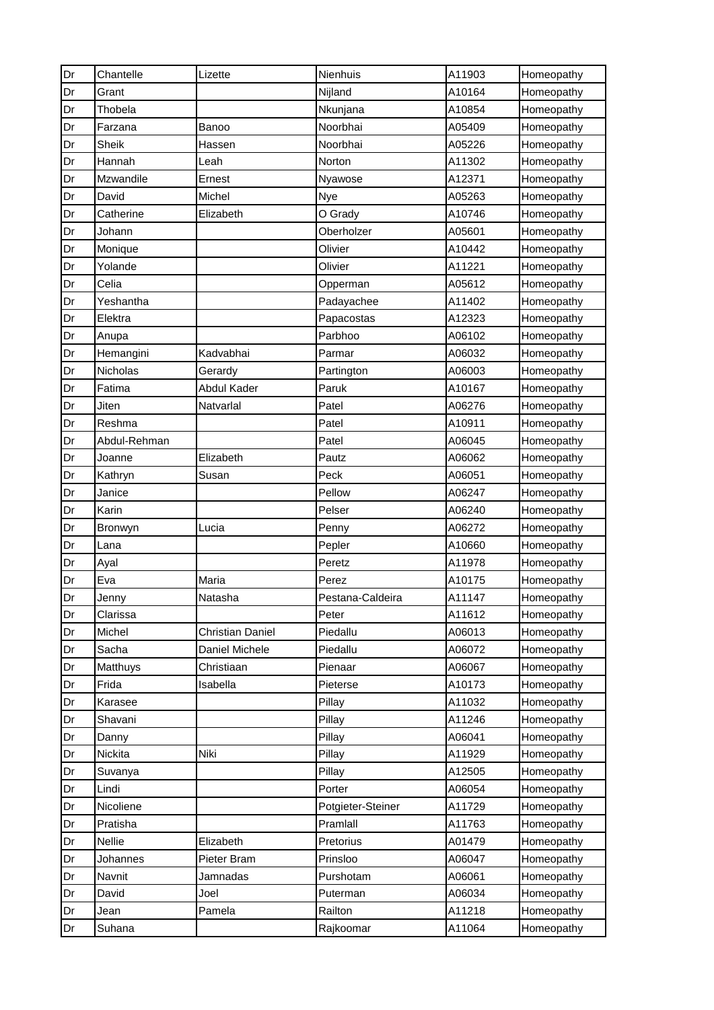| Dr | Chantelle    | Lizette                 | Nienhuis          | A11903 | Homeopathy |
|----|--------------|-------------------------|-------------------|--------|------------|
| Dr | Grant        |                         | Nijland           | A10164 | Homeopathy |
| Dr | Thobela      |                         | Nkunjana          | A10854 | Homeopathy |
| Dr | Farzana      | Banoo                   | Noorbhai          | A05409 | Homeopathy |
| Dr | <b>Sheik</b> | Hassen                  | Noorbhai          | A05226 | Homeopathy |
| Dr | Hannah       | Leah                    | Norton            | A11302 | Homeopathy |
| Dr | Mzwandile    | Ernest                  | Nyawose           | A12371 | Homeopathy |
| Dr | David        | Michel                  | Nye               | A05263 | Homeopathy |
| Dr | Catherine    | Elizabeth               | O Grady           | A10746 | Homeopathy |
| Dr | Johann       |                         | Oberholzer        | A05601 | Homeopathy |
| Dr | Monique      |                         | Olivier           | A10442 | Homeopathy |
| Dr | Yolande      |                         | Olivier           | A11221 | Homeopathy |
| Dr | Celia        |                         | Opperman          | A05612 | Homeopathy |
| Dr | Yeshantha    |                         | Padayachee        | A11402 | Homeopathy |
| Dr | Elektra      |                         | Papacostas        | A12323 | Homeopathy |
| Dr | Anupa        |                         | Parbhoo           | A06102 | Homeopathy |
| Dr | Hemangini    | Kadvabhai               | Parmar            | A06032 | Homeopathy |
| Dr | Nicholas     | Gerardy                 | Partington        | A06003 | Homeopathy |
| Dr | Fatima       | Abdul Kader             | Paruk             | A10167 | Homeopathy |
| Dr | Jiten        | Natvarlal               | Patel             | A06276 | Homeopathy |
| Dr | Reshma       |                         | Patel             | A10911 | Homeopathy |
| Dr | Abdul-Rehman |                         | Patel             | A06045 | Homeopathy |
| Dr | Joanne       | Elizabeth               | Pautz             | A06062 | Homeopathy |
| Dr | Kathryn      | Susan                   | Peck              | A06051 | Homeopathy |
| Dr | Janice       |                         | Pellow            | A06247 | Homeopathy |
| Dr | Karin        |                         | Pelser            | A06240 | Homeopathy |
| Dr | Bronwyn      | Lucia                   | Penny             | A06272 | Homeopathy |
| Dr | Lana         |                         | Pepler            | A10660 | Homeopathy |
| Dr | Ayal         |                         | Peretz            | A11978 | Homeopathy |
| Dr | Eva          | Maria                   | Perez             | A10175 | Homeopathy |
| Dr | Jenny        | Natasha                 | Pestana-Caldeira  | A11147 | Homeopathy |
| Dr | Clarissa     |                         | Peter             | A11612 | Homeopathy |
| Dr | Michel       | <b>Christian Daniel</b> | Piedallu          | A06013 | Homeopathy |
| Dr | Sacha        | Daniel Michele          | Piedallu          | A06072 | Homeopathy |
| Dr | Matthuys     | Christiaan              | Pienaar           | A06067 | Homeopathy |
| Dr | Frida        | Isabella                | Pieterse          | A10173 | Homeopathy |
| Dr | Karasee      |                         | Pillay            | A11032 | Homeopathy |
| Dr | Shavani      |                         | Pillay            | A11246 | Homeopathy |
| Dr | Danny        |                         | Pillay            | A06041 | Homeopathy |
| Dr | Nickita      | Niki                    | Pillay            | A11929 | Homeopathy |
| Dr | Suvanya      |                         | Pillay            | A12505 | Homeopathy |
| Dr | Lindi        |                         | Porter            | A06054 | Homeopathy |
| Dr | Nicoliene    |                         | Potgieter-Steiner | A11729 | Homeopathy |
| Dr | Pratisha     |                         | Pramlall          | A11763 | Homeopathy |
| Dr | Nellie       | Elizabeth               | Pretorius         | A01479 | Homeopathy |
| Dr | Johannes     | Pieter Bram             | Prinsloo          | A06047 | Homeopathy |
| Dr | Navnit       | Jamnadas                | Purshotam         | A06061 | Homeopathy |
| Dr | David        | Joel                    | Puterman          | A06034 | Homeopathy |
| Dr | Jean         | Pamela                  | Railton           | A11218 | Homeopathy |
| Dr | Suhana       |                         | Rajkoomar         | A11064 | Homeopathy |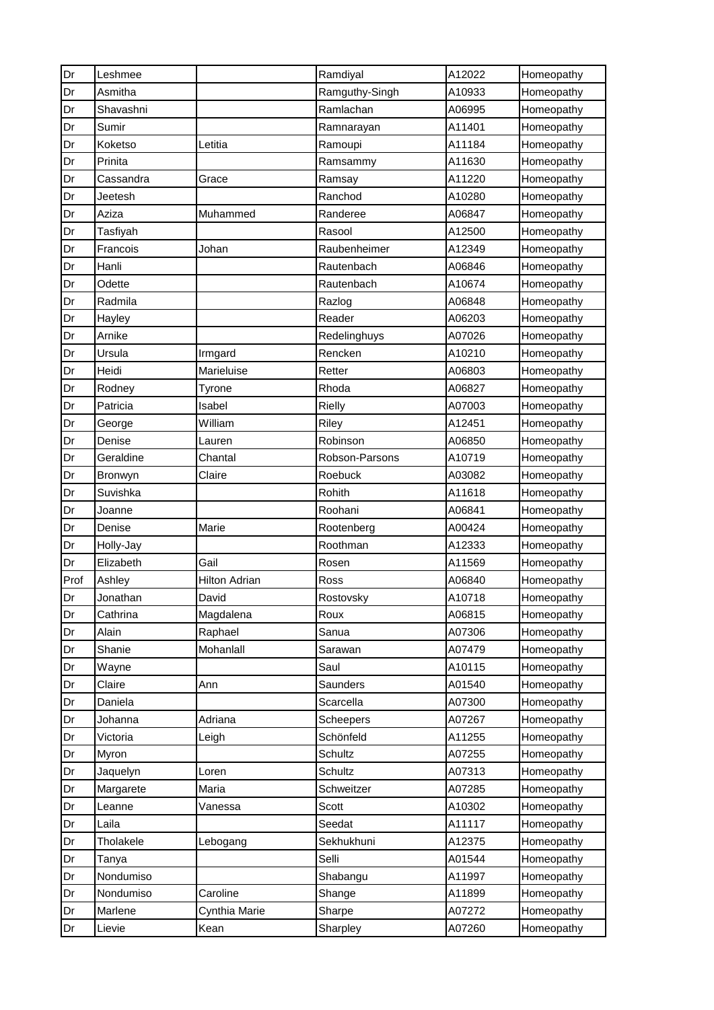| Dr   | Leshmee        |                      | Ramdiyal       | A12022 | Homeopathy |
|------|----------------|----------------------|----------------|--------|------------|
| Dr   | Asmitha        |                      | Ramguthy-Singh | A10933 | Homeopathy |
| Dr   | Shavashni      |                      | Ramlachan      | A06995 | Homeopathy |
| Dr   | Sumir          |                      | Ramnarayan     | A11401 | Homeopathy |
| Dr   | Koketso        | Letitia              | Ramoupi        | A11184 | Homeopathy |
| Dr   | Prinita        |                      | Ramsammy       | A11630 | Homeopathy |
| Dr   | Cassandra      | Grace                | Ramsay         | A11220 | Homeopathy |
| Dr   | Jeetesh        |                      | Ranchod        | A10280 | Homeopathy |
| Dr   | Aziza          | Muhammed             | Randeree       | A06847 | Homeopathy |
| Dr   | Tasfiyah       |                      | Rasool         | A12500 | Homeopathy |
| Dr   | Francois       | Johan                | Raubenheimer   | A12349 | Homeopathy |
| Dr   | Hanli          |                      | Rautenbach     | A06846 | Homeopathy |
| Dr   | Odette         |                      | Rautenbach     | A10674 | Homeopathy |
| Dr   | Radmila        |                      | Razlog         | A06848 | Homeopathy |
| Dr   | Hayley         |                      | Reader         | A06203 | Homeopathy |
| Dr   | Arnike         |                      | Redelinghuys   | A07026 | Homeopathy |
| Dr   | Ursula         | Irmgard              | Rencken        | A10210 | Homeopathy |
| Dr   | Heidi          | Marieluise           | Retter         | A06803 | Homeopathy |
| Dr   | Rodney         | Tyrone               | Rhoda          | A06827 | Homeopathy |
| Dr   | Patricia       | Isabel               | Rielly         | A07003 | Homeopathy |
| Dr   | George         | William              | Riley          | A12451 | Homeopathy |
| Dr   | Denise         | Lauren               | Robinson       | A06850 | Homeopathy |
| Dr   | Geraldine      | Chantal              | Robson-Parsons | A10719 | Homeopathy |
| Dr   | <b>Bronwyn</b> | Claire               | Roebuck        | A03082 | Homeopathy |
| Dr   | Suvishka       |                      | Rohith         | A11618 | Homeopathy |
| Dr   | Joanne         |                      | Roohani        | A06841 | Homeopathy |
| Dr   | Denise         | Marie                | Rootenberg     | A00424 | Homeopathy |
| Dr   | Holly-Jay      |                      | Roothman       | A12333 | Homeopathy |
| Dr   | Elizabeth      | Gail                 | Rosen          | A11569 | Homeopathy |
| Prof | Ashley         | <b>Hilton Adrian</b> | Ross           | A06840 | Homeopathy |
| Dr   | Jonathan       | David                | Rostovsky      | A10718 | Homeopathy |
| Dr   | Cathrina       | Magdalena            | Roux           | A06815 | Homeopathy |
| Dr   | Alain          | Raphael              | Sanua          | A07306 | Homeopathy |
| Dr   | Shanie         | Mohanlall            | Sarawan        | A07479 | Homeopathy |
| Dr   | Wayne          |                      | Saul           | A10115 | Homeopathy |
| Dr   | Claire         | Ann                  | Saunders       | A01540 | Homeopathy |
| Dr   | Daniela        |                      | Scarcella      | A07300 | Homeopathy |
| Dr   | Johanna        | Adriana              | Scheepers      | A07267 | Homeopathy |
| Dr   | Victoria       | Leigh                | Schönfeld      | A11255 | Homeopathy |
| Dr   | Myron          |                      | Schultz        | A07255 | Homeopathy |
| Dr   | Jaquelyn       | Loren                | Schultz        | A07313 | Homeopathy |
| Dr   | Margarete      | Maria                | Schweitzer     | A07285 | Homeopathy |
| Dr   | Leanne         | Vanessa              | Scott          | A10302 | Homeopathy |
| Dr   | Laila          |                      | Seedat         | A11117 | Homeopathy |
| Dr   | Tholakele      | Lebogang             | Sekhukhuni     | A12375 | Homeopathy |
| Dr   | Tanya          |                      | Selli          | A01544 | Homeopathy |
| Dr   | Nondumiso      |                      | Shabangu       | A11997 | Homeopathy |
| Dr   | Nondumiso      | Caroline             | Shange         | A11899 | Homeopathy |
| Dr   | Marlene        | Cynthia Marie        | Sharpe         | A07272 | Homeopathy |
| Dr   | Lievie         | Kean                 | Sharpley       | A07260 | Homeopathy |
|      |                |                      |                |        |            |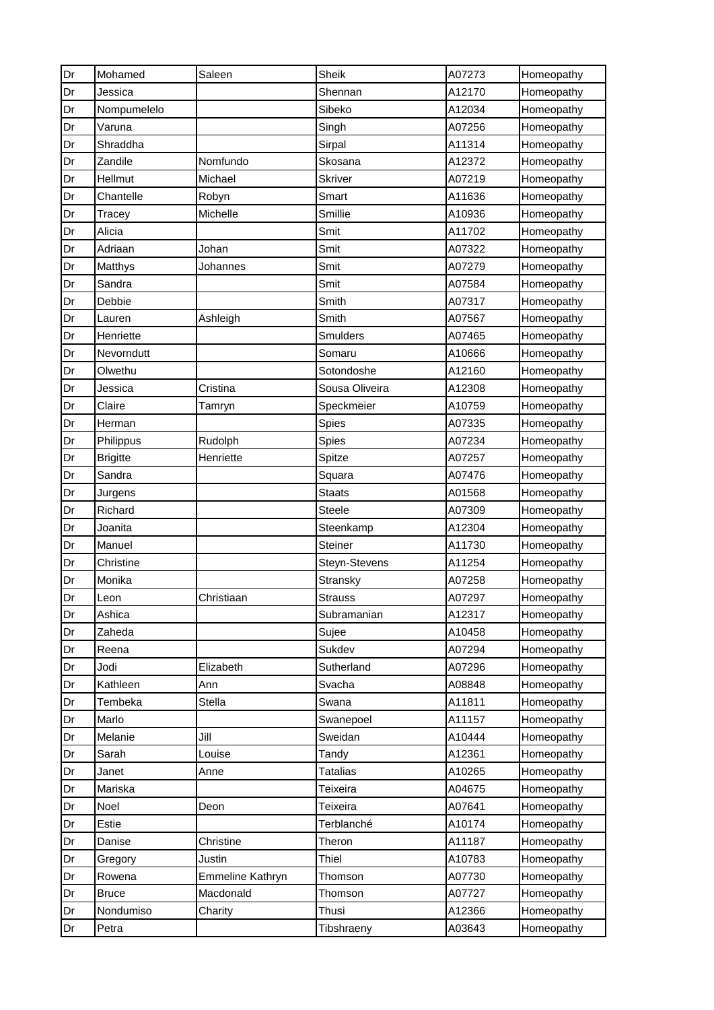| Dr | Mohamed         | Saleen           | Sheik           | A07273 | Homeopathy |
|----|-----------------|------------------|-----------------|--------|------------|
| Dr | Jessica         |                  | Shennan         | A12170 | Homeopathy |
| Dr | Nompumelelo     |                  | Sibeko          | A12034 | Homeopathy |
| Dr | Varuna          |                  | Singh           | A07256 | Homeopathy |
| Dr | Shraddha        |                  | Sirpal          | A11314 | Homeopathy |
| Dr | Zandile         | Nomfundo         | Skosana         | A12372 | Homeopathy |
| Dr | Hellmut         | Michael          | <b>Skriver</b>  | A07219 | Homeopathy |
| Dr | Chantelle       | Robyn            | Smart           | A11636 | Homeopathy |
| Dr | Tracey          | Michelle         | Smillie         | A10936 | Homeopathy |
| Dr | Alicia          |                  | Smit            | A11702 | Homeopathy |
| Dr | Adriaan         | Johan            | Smit            | A07322 | Homeopathy |
| Dr | Matthys         | Johannes         | Smit            | A07279 | Homeopathy |
| Dr | Sandra          |                  | Smit            | A07584 | Homeopathy |
| Dr | Debbie          |                  | Smith           | A07317 | Homeopathy |
| Dr | Lauren          | Ashleigh         | Smith           | A07567 | Homeopathy |
| Dr | Henriette       |                  | Smulders        | A07465 | Homeopathy |
| Dr | Nevorndutt      |                  | Somaru          | A10666 | Homeopathy |
| Dr | Olwethu         |                  | Sotondoshe      | A12160 | Homeopathy |
| Dr | Jessica         | Cristina         | Sousa Oliveira  | A12308 | Homeopathy |
| Dr | Claire          | Tamryn           | Speckmeier      | A10759 | Homeopathy |
| Dr | Herman          |                  | Spies           | A07335 | Homeopathy |
| Dr | Philippus       | Rudolph          | Spies           | A07234 | Homeopathy |
| Dr | <b>Brigitte</b> | Henriette        | Spitze          | A07257 | Homeopathy |
| Dr | Sandra          |                  | Squara          | A07476 | Homeopathy |
| Dr | Jurgens         |                  | <b>Staats</b>   | A01568 | Homeopathy |
| Dr | Richard         |                  | Steele          | A07309 | Homeopathy |
| Dr | Joanita         |                  | Steenkamp       | A12304 | Homeopathy |
| Dr | Manuel          |                  | <b>Steiner</b>  | A11730 | Homeopathy |
| Dr | Christine       |                  | Steyn-Stevens   | A11254 | Homeopathy |
| Dr | Monika          |                  | Stransky        | A07258 | Homeopathy |
| Dr | Leon            | Christiaan       | <b>Strauss</b>  | A07297 | Homeopathy |
| Dr | Ashica          |                  | Subramanian     | A12317 | Homeopathy |
| Dr | Zaheda          |                  | Sujee           | A10458 | Homeopathy |
| Dr | Reena           |                  | Sukdev          | A07294 | Homeopathy |
| Dr | Jodi            | Elizabeth        | Sutherland      | A07296 | Homeopathy |
| Dr | Kathleen        | Ann              | Svacha          | A08848 | Homeopathy |
| Dr | Tembeka         | Stella           | Swana           | A11811 | Homeopathy |
| Dr | Marlo           |                  | Swanepoel       | A11157 | Homeopathy |
| Dr | Melanie         | Jill             | Sweidan         | A10444 | Homeopathy |
| Dr | Sarah           | Louise           | Tandy           | A12361 | Homeopathy |
| Dr | Janet           | Anne             | <b>Tatalias</b> | A10265 | Homeopathy |
| Dr | Mariska         |                  | Teixeira        | A04675 | Homeopathy |
| Dr | Noel            | Deon             | Teixeira        | A07641 | Homeopathy |
| Dr | Estie           |                  | Terblanché      | A10174 | Homeopathy |
| Dr | Danise          | Christine        | Theron          | A11187 | Homeopathy |
| Dr | Gregory         | Justin           | Thiel           | A10783 | Homeopathy |
| Dr | Rowena          | Emmeline Kathryn | Thomson         | A07730 | Homeopathy |
| Dr | <b>Bruce</b>    | Macdonald        | Thomson         | A07727 | Homeopathy |
| Dr | Nondumiso       | Charity          | Thusi           | A12366 | Homeopathy |
| Dr | Petra           |                  | Tibshraeny      | A03643 | Homeopathy |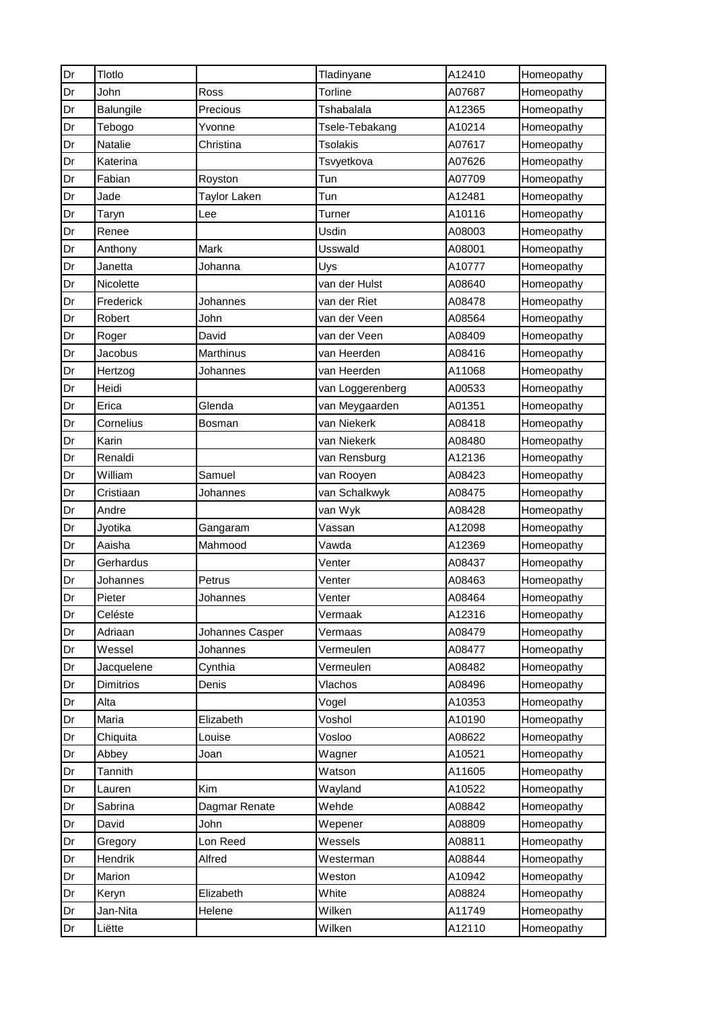| Dr | Tlotlo     |                  | Tladinyane       | A12410 | Homeopathy |
|----|------------|------------------|------------------|--------|------------|
| Dr | John       | Ross             | Torline          | A07687 | Homeopathy |
| Dr | Balungile  | Precious         | Tshabalala       | A12365 | Homeopathy |
| Dr | Tebogo     | Yvonne           | Tsele-Tebakang   | A10214 | Homeopathy |
| Dr | Natalie    | Christina        | <b>Tsolakis</b>  | A07617 | Homeopathy |
| Dr | Katerina   |                  | Tsvyetkova       | A07626 | Homeopathy |
| Dr | Fabian     | Royston          | Tun              | A07709 | Homeopathy |
| Dr | Jade       | Taylor Laken     | Tun              | A12481 | Homeopathy |
| Dr | Taryn      | Lee              | Turner           | A10116 | Homeopathy |
| Dr | Renee      |                  | Usdin            | A08003 | Homeopathy |
| Dr | Anthony    | Mark             | Usswald          | A08001 | Homeopathy |
| Dr | Janetta    | Johanna          | Uys              | A10777 | Homeopathy |
| Dr | Nicolette  |                  | van der Hulst    | A08640 | Homeopathy |
| Dr | Frederick  | Johannes         | van der Riet     | A08478 | Homeopathy |
| Dr | Robert     | John             | van der Veen     | A08564 | Homeopathy |
| Dr | Roger      | David            | van der Veen     | A08409 | Homeopathy |
| Dr | Jacobus    | <b>Marthinus</b> | van Heerden      | A08416 | Homeopathy |
| Dr | Hertzog    | Johannes         | van Heerden      | A11068 | Homeopathy |
| Dr | Heidi      |                  | van Loggerenberg | A00533 | Homeopathy |
| Dr | Erica      | Glenda           | van Meygaarden   | A01351 | Homeopathy |
| Dr | Cornelius  | Bosman           | van Niekerk      | A08418 | Homeopathy |
| Dr | Karin      |                  | van Niekerk      | A08480 | Homeopathy |
| Dr | Renaldi    |                  | van Rensburg     | A12136 | Homeopathy |
| Dr | William    | Samuel           | van Rooyen       | A08423 | Homeopathy |
| Dr | Cristiaan  | Johannes         | van Schalkwyk    | A08475 | Homeopathy |
| Dr | Andre      |                  | van Wyk          | A08428 | Homeopathy |
| Dr | Jyotika    | Gangaram         | Vassan           | A12098 | Homeopathy |
| Dr | Aaisha     | Mahmood          | Vawda            | A12369 | Homeopathy |
| Dr | Gerhardus  |                  | Venter           | A08437 | Homeopathy |
| Dr | Johannes   | Petrus           | Venter           | A08463 | Homeopathy |
| Dr | Pieter     | Johannes         | Venter           | A08464 | Homeopathy |
| Dr | Celéste    |                  | Vermaak          | A12316 | Homeopathy |
| Dr | Adriaan    | Johannes Casper  | Vermaas          | A08479 | Homeopathy |
| Dr | Wessel     | Johannes         | Vermeulen        | A08477 | Homeopathy |
| Dr | Jacquelene | Cynthia          | Vermeulen        | A08482 | Homeopathy |
| Dr | Dimitrios  | Denis            | Vlachos          | A08496 | Homeopathy |
| Dr | Alta       |                  | Vogel            | A10353 | Homeopathy |
| Dr | Maria      | Elizabeth        | Voshol           | A10190 | Homeopathy |
| Dr | Chiquita   | Louise           | Vosloo           | A08622 | Homeopathy |
| Dr | Abbey      | Joan             | Wagner           | A10521 | Homeopathy |
| Dr | Tannith    |                  | Watson           | A11605 | Homeopathy |
| Dr | Lauren     | Kim              | Wayland          | A10522 | Homeopathy |
| Dr | Sabrina    | Dagmar Renate    | Wehde            | A08842 | Homeopathy |
| Dr | David      | John             | Wepener          | A08809 | Homeopathy |
| Dr | Gregory    | Lon Reed         | Wessels          | A08811 | Homeopathy |
| Dr | Hendrik    | Alfred           | Westerman        | A08844 | Homeopathy |
| Dr | Marion     |                  | Weston           | A10942 | Homeopathy |
| Dr | Keryn      | Elizabeth        | White            | A08824 | Homeopathy |
| Dr | Jan-Nita   | Helene           | Wilken           | A11749 | Homeopathy |
| Dr | Liëtte     |                  | Wilken           | A12110 | Homeopathy |